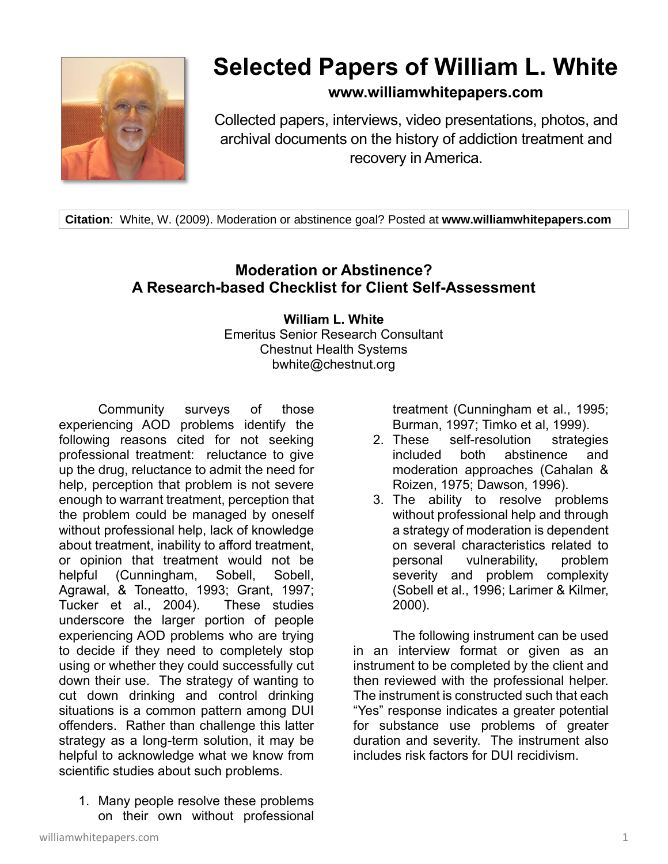

# **Selected Papers of William L. White**

### **www.williamwhitepapers.com**

Collected papers, interviews, video presentations, photos, and archival documents on the history of addiction treatment and recovery in America.

**Citation**: White, W. (2009). Moderation or abstinence goal? Posted at **www.williamwhitepapers.com**

## **Moderation or Abstinence? A Research-based Checklist for Client Self-Assessment**

#### **William L. White** Emeritus Senior Research Consultant Chestnut Health Systems bwhite@chestnut.org

Community surveys of those experiencing AOD problems identify the following reasons cited for not seeking professional treatment: reluctance to give up the drug, reluctance to admit the need for help, perception that problem is not severe enough to warrant treatment, perception that the problem could be managed by oneself without professional help, lack of knowledge about treatment, inability to afford treatment, or opinion that treatment would not be helpful (Cunningham, Sobell, Sobell, Agrawal, & Toneatto, 1993; Grant, 1997; Tucker et al., 2004). These studies underscore the larger portion of people experiencing AOD problems who are trying to decide if they need to completely stop using or whether they could successfully cut down their use. The strategy of wanting to cut down drinking and control drinking situations is a common pattern among DUI offenders. Rather than challenge this latter strategy as a long-term solution, it may be helpful to acknowledge what we know from scientific studies about such problems.

1. Many people resolve these problems on their own without professional treatment (Cunningham et al., 1995; Burman, 1997; Timko et al, 1999).

- 2. These self-resolution strategies included both abstinence and moderation approaches (Cahalan & Roizen, 1975; Dawson, 1996).
- 3. The ability to resolve problems without professional help and through a strategy of moderation is dependent on several characteristics related to personal vulnerability, problem severity and problem complexity (Sobell et al., 1996; Larimer & Kilmer, 2000).

The following instrument can be used in an interview format or given as an instrument to be completed by the client and then reviewed with the professional helper. The instrument is constructed such that each "Yes" response indicates a greater potential for substance use problems of greater duration and severity. The instrument also includes risk factors for DUI recidivism.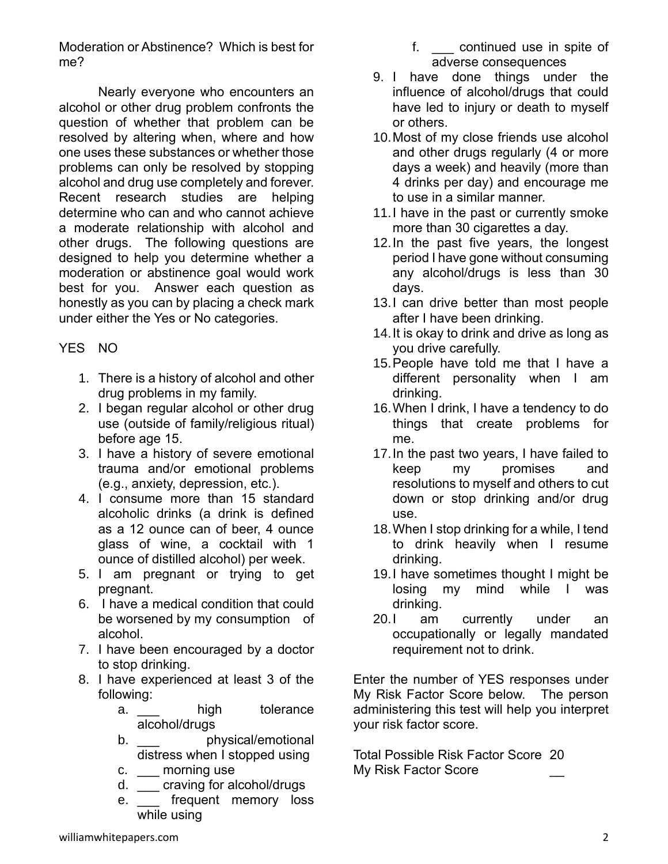Moderation or Abstinence? Which is best for me?

Nearly everyone who encounters an alcohol or other drug problem confronts the question of whether that problem can be resolved by altering when, where and how one uses these substances or whether those problems can only be resolved by stopping alcohol and drug use completely and forever. Recent research studies are helping determine who can and who cannot achieve a moderate relationship with alcohol and other drugs. The following questions are designed to help you determine whether a moderation or abstinence goal would work best for you. Answer each question as honestly as you can by placing a check mark under either the Yes or No categories.

#### YES NO

- 1. There is a history of alcohol and other drug problems in my family.
- 2. I began regular alcohol or other drug use (outside of family/religious ritual) before age 15.
- 3. I have a history of severe emotional trauma and/or emotional problems (e.g., anxiety, depression, etc.).
- 4. I consume more than 15 standard alcoholic drinks (a drink is defined as a 12 ounce can of beer, 4 ounce glass of wine, a cocktail with 1 ounce of distilled alcohol) per week.
- 5. I am pregnant or trying to get pregnant.
- 6. I have a medical condition that could be worsened by my consumption of alcohol.
- 7. I have been encouraged by a doctor to stop drinking.
- 8. I have experienced at least 3 of the following:
	- a. **high** tolerance alcohol/drugs
	- b. **b.** physical/emotional distress when I stopped using
	- c. morning use
	- d. \_\_\_ craving for alcohol/drugs
	- e. Frequent memory loss while using
- f. \_\_\_ continued use in spite of adverse consequences
- 9. I have done things under the influence of alcohol/drugs that could have led to injury or death to myself or others.
- 10.Most of my close friends use alcohol and other drugs regularly (4 or more days a week) and heavily (more than 4 drinks per day) and encourage me to use in a similar manner.
- 11.I have in the past or currently smoke more than 30 cigarettes a day.
- 12.In the past five years, the longest period I have gone without consuming any alcohol/drugs is less than 30 days.
- 13.I can drive better than most people after I have been drinking.
- 14.It is okay to drink and drive as long as you drive carefully.
- 15.People have told me that I have a different personality when I am drinking.
- 16.When I drink, I have a tendency to do things that create problems for me.
- 17.In the past two years, I have failed to keep my promises and resolutions to myself and others to cut down or stop drinking and/or drug use.
- 18.When I stop drinking for a while, I tend to drink heavily when I resume drinking.
- 19.I have sometimes thought I might be losing my mind while I was drinking.
- 20.I am currently under an occupationally or legally mandated requirement not to drink.

Enter the number of YES responses under My Risk Factor Score below. The person administering this test will help you interpret your risk factor score.

Total Possible Risk Factor Score 20 My Risk Factor Score